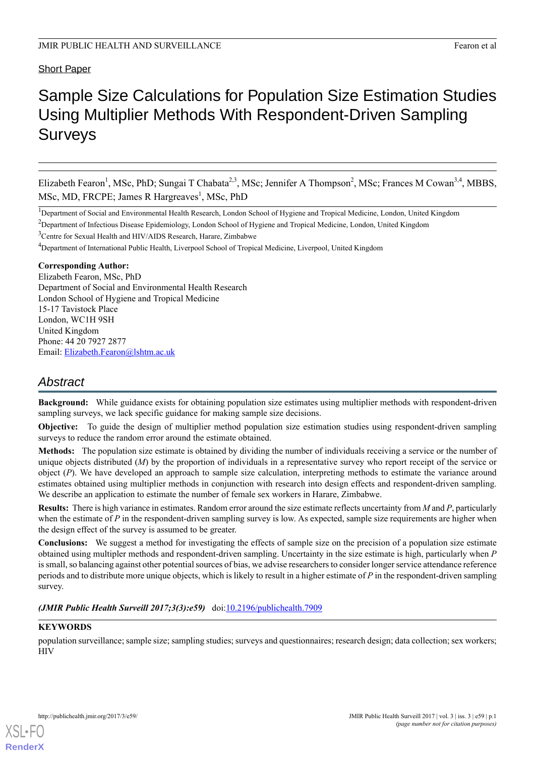# Short Paper

# Sample Size Calculations for Population Size Estimation Studies Using Multiplier Methods With Respondent-Driven Sampling Surveys

Elizabeth Fearon<sup>1</sup>, MSc, PhD; Sungai T Chabata<sup>2,3</sup>, MSc; Jennifer A Thompson<sup>2</sup>, MSc; Frances M Cowan<sup>3,4</sup>, MBBS, MSc, MD, FRCPE; James R Hargreaves<sup>1</sup>, MSc, PhD

<sup>1</sup>Department of Social and Environmental Health Research, London School of Hygiene and Tropical Medicine, London, United Kingdom

<sup>2</sup>Department of Infectious Disease Epidemiology, London School of Hygiene and Tropical Medicine, London, United Kingdom

<sup>3</sup>Centre for Sexual Health and HIV/AIDS Research, Harare, Zimbabwe

<sup>4</sup>Department of International Public Health, Liverpool School of Tropical Medicine, Liverpool, United Kingdom

#### **Corresponding Author:**

Elizabeth Fearon, MSc, PhD Department of Social and Environmental Health Research London School of Hygiene and Tropical Medicine 15-17 Tavistock Place London, WC1H 9SH United Kingdom Phone: 44 20 7927 2877 Email: [Elizabeth.Fearon@lshtm.ac.uk](mailto:Elizabeth.Fearon@lshtm.ac.uk)

# *Abstract*

**Background:** While guidance exists for obtaining population size estimates using multiplier methods with respondent-driven sampling surveys, we lack specific guidance for making sample size decisions.

**Objective:** To guide the design of multiplier method population size estimation studies using respondent-driven sampling surveys to reduce the random error around the estimate obtained.

**Methods:** The population size estimate is obtained by dividing the number of individuals receiving a service or the number of unique objects distributed (*M*) by the proportion of individuals in a representative survey who report receipt of the service or object (*P*). We have developed an approach to sample size calculation, interpreting methods to estimate the variance around estimates obtained using multiplier methods in conjunction with research into design effects and respondent-driven sampling. We describe an application to estimate the number of female sex workers in Harare, Zimbabwe.

**Results:** There is high variance in estimates. Random error around the size estimate reflects uncertainty from *M* and *P*, particularly when the estimate of *P* in the respondent-driven sampling survey is low. As expected, sample size requirements are higher when the design effect of the survey is assumed to be greater.

**Conclusions:** We suggest a method for investigating the effects of sample size on the precision of a population size estimate obtained using multipler methods and respondent-driven sampling. Uncertainty in the size estimate is high, particularly when *P* is small, so balancing against other potential sources of bias, we advise researchers to consider longer service attendance reference periods and to distribute more unique objects, which is likely to result in a higher estimate of *P* in the respondent-driven sampling survey.

*(JMIR Public Health Surveill 2017;3(3):e59)* doi:[10.2196/publichealth.7909](http://dx.doi.org/10.2196/publichealth.7909)

### **KEYWORDS**

[XSL](http://www.w3.org/Style/XSL)•FO **[RenderX](http://www.renderx.com/)**

population surveillance; sample size; sampling studies; surveys and questionnaires; research design; data collection; sex workers; HIV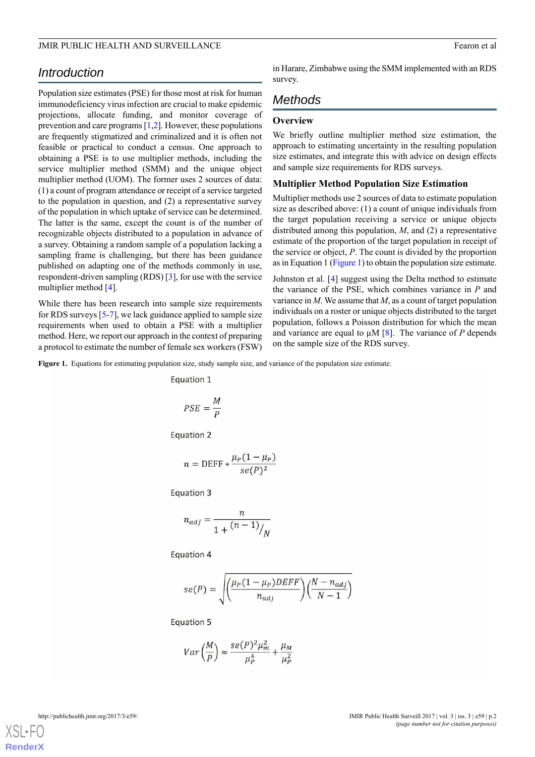#### JMIR PUBLIC HEALTH AND SURVEILLANCE **Fearon et al.** Fearon et al.

# *Introduction*

Population size estimates (PSE) for those most at risk for human immunodeficiency virus infection are crucial to make epidemic projections, allocate funding, and monitor coverage of prevention and care programs [\[1](#page-5-0),[2\]](#page-5-1). However, these populations are frequently stigmatized and criminalized and it is often not feasible or practical to conduct a census. One approach to obtaining a PSE is to use multiplier methods, including the service multiplier method (SMM) and the unique object multiplier method (UOM). The former uses 2 sources of data: (1) a count of program attendance or receipt of a service targeted to the population in question, and (2) a representative survey of the population in which uptake of service can be determined. The latter is the same, except the count is of the number of recognizable objects distributed to a population in advance of a survey. Obtaining a random sample of a population lacking a sampling frame is challenging, but there has been guidance published on adapting one of the methods commonly in use, respondent-driven sampling (RDS) [\[3](#page-5-2)], for use with the service multiplier method [\[4](#page-5-3)].

<span id="page-1-0"></span>While there has been research into sample size requirements for RDS surveys [\[5](#page-5-4)-[7\]](#page-5-5), we lack guidance applied to sample size requirements when used to obtain a PSE with a multiplier method. Here, we report our approach in the context of preparing a protocol to estimate the number of female sex workers (FSW) in Harare, Zimbabwe using the SMM implemented with an RDS survey.

# *Methods*

# **Overview**

We briefly outline multiplier method size estimation, the approach to estimating uncertainty in the resulting population size estimates, and integrate this with advice on design effects and sample size requirements for RDS surveys.

### **Multiplier Method Population Size Estimation**

Multiplier methods use 2 sources of data to estimate population size as described above: (1) a count of unique individuals from the target population receiving a service or unique objects distributed among this population, *M*, and (2) a representative estimate of the proportion of the target population in receipt of the service or object, *P*. The count is divided by the proportion as in Equation 1 [\(Figure 1\)](#page-1-0) to obtain the population size estimate.

Johnston et al. [[4\]](#page-5-3) suggest using the Delta method to estimate the variance of the PSE, which combines variance in *P* and variance in *M*. We assume that *M*, as a count of target population individuals on a roster or unique objects distributed to the target population, follows a Poisson distribution for which the mean and variance are equal to  $\mu$ M [[8\]](#page-5-6). The variance of *P* depends on the sample size of the RDS survey.

**Figure 1.** Equations for estimating population size, study sample size, and variance of the population size estimate.

Equation 1

$$
PSE = \frac{M}{P}
$$

Equation 2

$$
n = \text{DEFF} * \frac{\mu_P (1 - \mu_P)}{se(P)^2}
$$

Equation 3

$$
n_{adj} = \frac{n}{1 + \frac{(n-1)}{N}}
$$

Equation 4

$$
se(P) = \sqrt{\left(\frac{\mu_P (1 - \mu_P) D E F F}{n_{adj}}\right) \left(\frac{N - n_{adj}}{N - 1}\right)}
$$

Equation 5

$$
Var\left(\frac{M}{P}\right) \approx \frac{se(P)^2 \mu_m^2}{\mu_P^4} + \frac{\mu_M}{\mu_P^2}
$$

[XSL](http://www.w3.org/Style/XSL)•FO **[RenderX](http://www.renderx.com/)**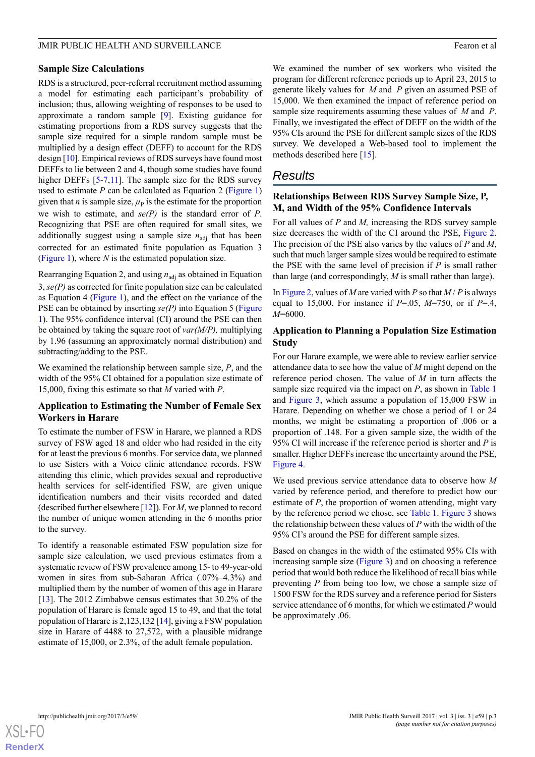#### JMIR PUBLIC HEALTH AND SURVEILLANCE **Fearon et al.** Fearon et al.

#### **Sample Size Calculations**

RDS is a structured, peer-referral recruitment method assuming a model for estimating each participant's probability of inclusion; thus, allowing weighting of responses to be used to approximate a random sample [\[9](#page-5-7)]. Existing guidance for estimating proportions from a RDS survey suggests that the sample size required for a simple random sample must be multiplied by a design effect (DEFF) to account for the RDS design [\[10](#page-5-8)]. Empirical reviews of RDS surveys have found most DEFFs to lie between 2 and 4, though some studies have found higher DEFFs [[5-](#page-5-4)[7](#page-5-5)[,11](#page-5-9)]. The sample size for the RDS survey used to estimate  $P$  can be calculated as Equation 2 [\(Figure 1](#page-1-0)) given that *n* is sample size,  $\mu$ <sup>p</sup> is the estimate for the proportion we wish to estimate, and *se(P)* is the standard error of *P*. Recognizing that PSE are often required for small sites, we additionally suggest using a sample size  $n_{\text{adi}}$  that has been corrected for an estimated finite population as Equation 3 ([Figure 1](#page-1-0)), where *N* is the estimated population size.

Rearranging Equation 2, and using  $n_{\text{adj}}$  as obtained in Equation 3, *se(P)* as corrected for finite population size can be calculated as Equation 4 ([Figure 1\)](#page-1-0), and the effect on the variance of the PSE can be obtained by inserting *se(P)* into Equation 5 ([Figure](#page-1-0) [1\)](#page-1-0). The 95% confidence interval (CI) around the PSE can then be obtained by taking the square root of *var(M/P),* multiplying by 1.96 (assuming an approximately normal distribution) and subtracting/adding to the PSE.

We examined the relationship between sample size, *P*, and the width of the 95% CI obtained for a population size estimate of 15,000, fixing this estimate so that *M* varied with *P*.

#### **Application to Estimating the Number of Female Sex Workers in Harare**

To estimate the number of FSW in Harare, we planned a RDS survey of FSW aged 18 and older who had resided in the city for at least the previous 6 months. For service data, we planned to use Sisters with a Voice clinic attendance records. FSW attending this clinic, which provides sexual and reproductive health services for self-identified FSW, are given unique identification numbers and their visits recorded and dated (described further elsewhere [\[12](#page-5-10)]). For *M*, we planned to record the number of unique women attending in the 6 months prior to the survey.

To identify a reasonable estimated FSW population size for sample size calculation, we used previous estimates from a systematic review of FSW prevalence among 15- to 49-year-old women in sites from sub-Saharan Africa (.07%–4.3%) and multiplied them by the number of women of this age in Harare [[13\]](#page-5-11). The 2012 Zimbabwe census estimates that 30.2% of the population of Harare is female aged 15 to 49, and that the total population of Harare is 2,123,132 [\[14](#page-5-12)], giving a FSW population size in Harare of 4488 to 27,572, with a plausible midrange estimate of 15,000, or 2.3%, of the adult female population.

We examined the number of sex workers who visited the program for different reference periods up to April 23, 2015 to generate likely values for *M* and *P* given an assumed PSE of 15,000. We then examined the impact of reference period on sample size requirements assuming these values of *M* and *P*. Finally, we investigated the effect of DEFF on the width of the 95% CIs around the PSE for different sample sizes of the RDS survey. We developed a Web-based tool to implement the methods described here [[15\]](#page-5-13).

### *Results*

#### **Relationships Between RDS Survey Sample Size, P, M, and Width of the 95% Confidence Intervals**

For all values of *P* and *M,* increasing the RDS survey sample size decreases the width of the CI around the PSE, [Figure 2](#page-3-0). The precision of the PSE also varies by the values of *P* and *M*, such that much larger sample sizes would be required to estimate the PSE with the same level of precision if *P* is small rather than large (and correspondingly, *M* is small rather than large).

In [Figure 2](#page-3-0), values of *M* are varied with *P* so that  $M/P$  is always equal to 15,000. For instance if *P*=.05, *M*=750, or if *P*=.4, *M*=6000.

### **Application to Planning a Population Size Estimation Study**

For our Harare example, we were able to review earlier service attendance data to see how the value of *M* might depend on the reference period chosen. The value of *M* in turn affects the sample size required via the impact on *P*, as shown in [Table 1](#page-3-1) and [Figure 3](#page-3-2), which assume a population of 15,000 FSW in Harare. Depending on whether we chose a period of 1 or 24 months, we might be estimating a proportion of .006 or a proportion of .148. For a given sample size, the width of the 95% CI will increase if the reference period is shorter and *P* is smaller. Higher DEFFs increase the uncertainty around the PSE, [Figure 4](#page-4-0).

We used previous service attendance data to observe how *M* varied by reference period, and therefore to predict how our estimate of *P*, the proportion of women attending, might vary by the reference period we chose, see [Table 1](#page-3-1). [Figure 3](#page-3-2) shows the relationship between these values of *P* with the width of the 95% CI's around the PSE for different sample sizes.

Based on changes in the width of the estimated 95% CIs with increasing sample size ([Figure 3\)](#page-3-2) and on choosing a reference period that would both reduce the likelihood of recall bias while preventing *P* from being too low, we chose a sample size of 1500 FSW for the RDS survey and a reference period for Sisters service attendance of 6 months, for which we estimated *P* would be approximately .06.

**[RenderX](http://www.renderx.com/)**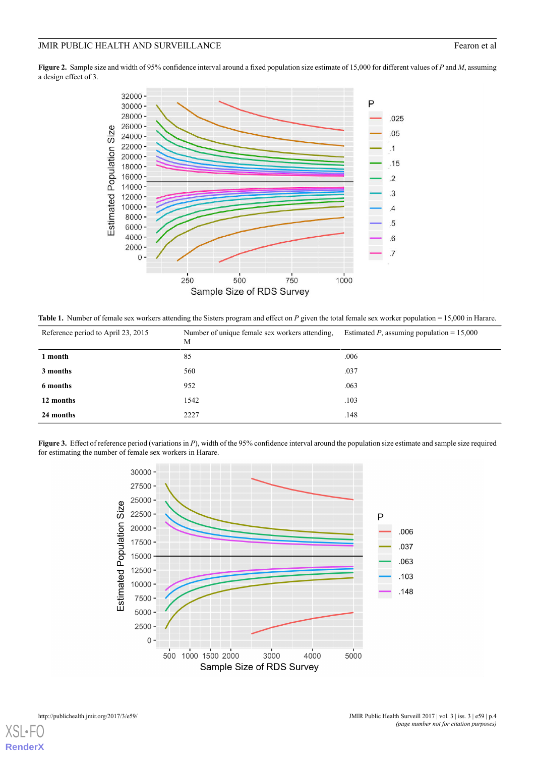#### JMIR PUBLIC HEALTH AND SURVEILLANCE Fearon et al

<span id="page-3-0"></span>**Figure 2.** Sample size and width of 95% confidence interval around a fixed population size estimate of 15,000 for different values of *P* and *M*, assuming a design effect of 3.



<span id="page-3-1"></span>Table 1. Number of female sex workers attending the Sisters program and effect on *P* given the total female sex worker population = 15,000 in Harare.

| Reference period to April 23, 2015 | Number of unique female sex workers attending.<br>M | Estimated P, assuming population = $15,000$ |
|------------------------------------|-----------------------------------------------------|---------------------------------------------|
| 1 month                            | 85                                                  | .006                                        |
| 3 months                           | 560                                                 | .037                                        |
| 6 months                           | 952                                                 | .063                                        |
| 12 months                          | 1542                                                | .103                                        |
| 24 months                          | 2227                                                | .148                                        |

<span id="page-3-2"></span>**Figure 3.** Effect of reference period (variations in *P*), width of the 95% confidence interval around the population size estimate and sample size required for estimating the number of female sex workers in Harare.



[XSL](http://www.w3.org/Style/XSL)•FO **[RenderX](http://www.renderx.com/)**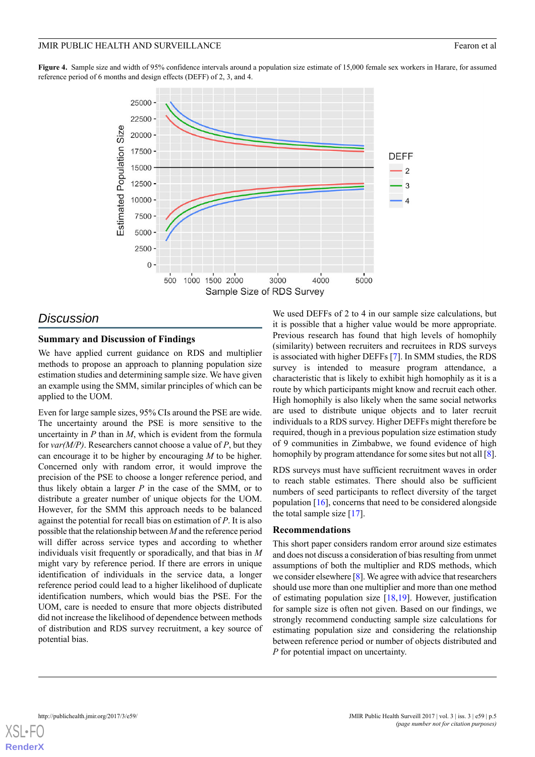#### JMIR PUBLIC HEALTH AND SURVEILLANCE **Fearon et al.** Fearon et al.

<span id="page-4-0"></span>Figure 4. Sample size and width of 95% confidence intervals around a population size estimate of 15,000 female sex workers in Harare, for assumed reference period of 6 months and design effects (DEFF) of 2, 3, and 4.



# *Discussion*

#### **Summary and Discussion of Findings**

We have applied current guidance on RDS and multiplier methods to propose an approach to planning population size estimation studies and determining sample size. We have given an example using the SMM, similar principles of which can be applied to the UOM.

Even for large sample sizes, 95% CIs around the PSE are wide. The uncertainty around the PSE is more sensitive to the uncertainty in *P* than in *M*, which is evident from the formula for *var(M/P)*. Researchers cannot choose a value of *P*, but they can encourage it to be higher by encouraging *M* to be higher. Concerned only with random error, it would improve the precision of the PSE to choose a longer reference period, and thus likely obtain a larger *P* in the case of the SMM, or to distribute a greater number of unique objects for the UOM. However, for the SMM this approach needs to be balanced against the potential for recall bias on estimation of *P*. It is also possible that the relationship between *M* and the reference period will differ across service types and according to whether individuals visit frequently or sporadically, and that bias in *M* might vary by reference period. If there are errors in unique identification of individuals in the service data, a longer reference period could lead to a higher likelihood of duplicate identification numbers, which would bias the PSE. For the UOM, care is needed to ensure that more objects distributed did not increase the likelihood of dependence between methods of distribution and RDS survey recruitment, a key source of potential bias.

We used DEFFs of 2 to 4 in our sample size calculations, but it is possible that a higher value would be more appropriate. Previous research has found that high levels of homophily (similarity) between recruiters and recruitees in RDS surveys is associated with higher DEFFs [\[7](#page-5-5)]. In SMM studies, the RDS survey is intended to measure program attendance, a characteristic that is likely to exhibit high homophily as it is a route by which participants might know and recruit each other. High homophily is also likely when the same social networks are used to distribute unique objects and to later recruit individuals to a RDS survey. Higher DEFFs might therefore be required, though in a previous population size estimation study of 9 communities in Zimbabwe, we found evidence of high homophily by program attendance for some sites but not all [[8\]](#page-5-6).

RDS surveys must have sufficient recruitment waves in order to reach stable estimates. There should also be sufficient numbers of seed participants to reflect diversity of the target population [\[16](#page-5-14)], concerns that need to be considered alongside the total sample size [[17\]](#page-5-15).

#### **Recommendations**

This short paper considers random error around size estimates and does not discuss a consideration of bias resulting from unmet assumptions of both the multiplier and RDS methods, which we consider elsewhere [\[8\]](#page-5-6). We agree with advice that researchers should use more than one multiplier and more than one method of estimating population size [\[18](#page-5-16),[19\]](#page-6-0). However, justification for sample size is often not given. Based on our findings, we strongly recommend conducting sample size calculations for estimating population size and considering the relationship between reference period or number of objects distributed and *P* for potential impact on uncertainty.

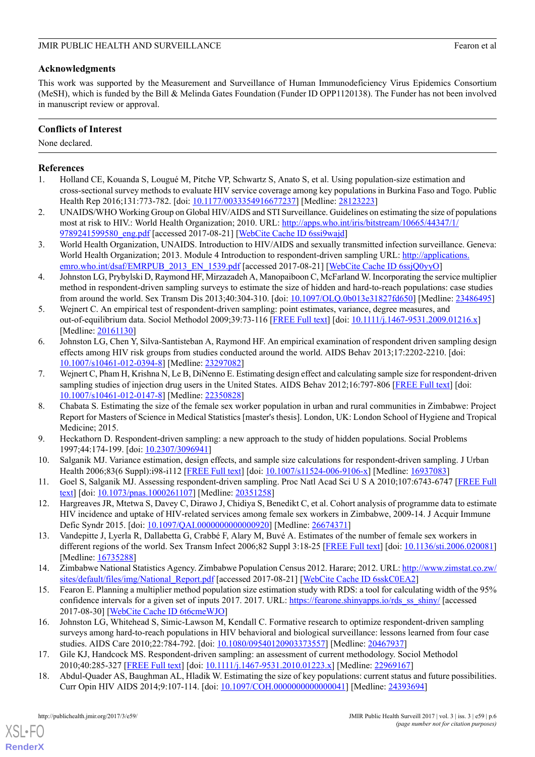# **Acknowledgments**

This work was supported by the Measurement and Surveillance of Human Immunodeficiency Virus Epidemics Consortium (MeSH), which is funded by the Bill & Melinda Gates Foundation (Funder ID OPP1120138). The Funder has not been involved in manuscript review or approval.

# **Conflicts of Interest**

None declared.

# <span id="page-5-0"></span>**References**

- <span id="page-5-1"></span>1. Holland CE, Kouanda S, Lougué M, Pitche VP, Schwartz S, Anato S, et al. Using population-size estimation and cross-sectional survey methods to evaluate HIV service coverage among key populations in Burkina Faso and Togo. Public Health Rep 2016;131:773-782. [doi: [10.1177/0033354916677237](http://dx.doi.org/10.1177/0033354916677237)] [Medline: [28123223](http://www.ncbi.nlm.nih.gov/entrez/query.fcgi?cmd=Retrieve&db=PubMed&list_uids=28123223&dopt=Abstract)]
- <span id="page-5-2"></span>2. UNAIDS/WHO Working Group on Global HIV/AIDS and STI Surveillance. Guidelines on estimating the size of populations most at risk to HIV.: World Health Organization; 2010. URL: [http://apps.who.int/iris/bitstream/10665/44347/1/](http://apps.who.int/iris/bitstream/10665/44347/1/9789241599580_eng.pdf) [9789241599580\\_eng.pdf](http://apps.who.int/iris/bitstream/10665/44347/1/9789241599580_eng.pdf) [accessed 2017-08-21] [[WebCite Cache ID 6ssi9wajd\]](http://www.webcitation.org/6ssi9wajd)
- <span id="page-5-3"></span>3. World Health Organization, UNAIDS. Introduction to HIV/AIDS and sexually transmitted infection surveillance. Geneva: World Health Organization; 2013. Module 4 Introduction to respondent-driven sampling URL: [http://applications.](http://applications.emro.who.int/dsaf/EMRPUB_2013_EN_1539.pdf) [emro.who.int/dsaf/EMRPUB\\_2013\\_EN\\_1539.pdf](http://applications.emro.who.int/dsaf/EMRPUB_2013_EN_1539.pdf) [accessed 2017-08-21] [\[WebCite Cache ID 6ssjQ0yyO](http://www.webcitation.org/6ssjQ0yyO)]
- <span id="page-5-4"></span>4. Johnston LG, Prybylski D, Raymond HF, Mirzazadeh A, Manopaiboon C, McFarland W. Incorporating the service multiplier method in respondent-driven sampling surveys to estimate the size of hidden and hard-to-reach populations: case studies from around the world. Sex Transm Dis 2013;40:304-310. [doi: [10.1097/OLQ.0b013e31827fd650\]](http://dx.doi.org/10.1097/OLQ.0b013e31827fd650) [Medline: [23486495](http://www.ncbi.nlm.nih.gov/entrez/query.fcgi?cmd=Retrieve&db=PubMed&list_uids=23486495&dopt=Abstract)]
- 5. Wejnert C. An empirical test of respondent-driven sampling: point estimates, variance, degree measures, and out-of-equilibrium data. Sociol Methodol 2009;39:73-116 [[FREE Full text](http://europepmc.org/abstract/MED/20161130)] [doi: [10.1111/j.1467-9531.2009.01216.x\]](http://dx.doi.org/10.1111/j.1467-9531.2009.01216.x) [Medline: [20161130](http://www.ncbi.nlm.nih.gov/entrez/query.fcgi?cmd=Retrieve&db=PubMed&list_uids=20161130&dopt=Abstract)]
- <span id="page-5-5"></span>6. Johnston LG, Chen Y, Silva-Santisteban A, Raymond HF. An empirical examination of respondent driven sampling design effects among HIV risk groups from studies conducted around the world. AIDS Behav 2013;17:2202-2210. [doi: [10.1007/s10461-012-0394-8\]](http://dx.doi.org/10.1007/s10461-012-0394-8) [Medline: [23297082](http://www.ncbi.nlm.nih.gov/entrez/query.fcgi?cmd=Retrieve&db=PubMed&list_uids=23297082&dopt=Abstract)]
- <span id="page-5-6"></span>7. Wejnert C, Pham H, Krishna N, Le B, DiNenno E. Estimating design effect and calculating sample size for respondent-driven sampling studies of injection drug users in the United States. AIDS Behav 2012;16:797-806 [\[FREE Full text\]](http://europepmc.org/abstract/MED/22350828) [doi: [10.1007/s10461-012-0147-8\]](http://dx.doi.org/10.1007/s10461-012-0147-8) [Medline: [22350828](http://www.ncbi.nlm.nih.gov/entrez/query.fcgi?cmd=Retrieve&db=PubMed&list_uids=22350828&dopt=Abstract)]
- <span id="page-5-8"></span><span id="page-5-7"></span>8. Chabata S. Estimating the size of the female sex worker population in urban and rural communities in Zimbabwe: Project Report for Masters of Science in Medical Statistics [master's thesis]. London, UK: London School of Hygiene and Tropical Medicine; 2015.
- <span id="page-5-9"></span>9. Heckathorn D. Respondent-driven sampling: a new approach to the study of hidden populations. Social Problems 1997;44:174-199. [doi: [10.2307/3096941](http://dx.doi.org/10.2307/3096941)]
- <span id="page-5-10"></span>10. Salganik MJ. Variance estimation, design effects, and sample size calculations for respondent-driven sampling. J Urban Health 2006;83(6 Suppl):i98-i112 [[FREE Full text](http://europepmc.org/abstract/MED/16937083)] [doi: [10.1007/s11524-006-9106-x\]](http://dx.doi.org/10.1007/s11524-006-9106-x) [Medline: [16937083](http://www.ncbi.nlm.nih.gov/entrez/query.fcgi?cmd=Retrieve&db=PubMed&list_uids=16937083&dopt=Abstract)]
- <span id="page-5-11"></span>11. Goel S, Salganik MJ. Assessing respondent-driven sampling. Proc Natl Acad Sci U S A 2010;107:6743-6747 [[FREE Full](http://www.pnas.org/cgi/pmidlookup?view=long&pmid=20351258) [text\]](http://www.pnas.org/cgi/pmidlookup?view=long&pmid=20351258) [doi: [10.1073/pnas.1000261107](http://dx.doi.org/10.1073/pnas.1000261107)] [Medline: [20351258](http://www.ncbi.nlm.nih.gov/entrez/query.fcgi?cmd=Retrieve&db=PubMed&list_uids=20351258&dopt=Abstract)]
- <span id="page-5-12"></span>12. Hargreaves JR, Mtetwa S, Davey C, Dirawo J, Chidiya S, Benedikt C, et al. Cohort analysis of programme data to estimate HIV incidence and uptake of HIV-related services among female sex workers in Zimbabwe, 2009-14. J Acquir Immune Defic Syndr 2015. [doi: [10.1097/QAI.0000000000000920\]](http://dx.doi.org/10.1097/QAI.0000000000000920) [Medline: [26674371](http://www.ncbi.nlm.nih.gov/entrez/query.fcgi?cmd=Retrieve&db=PubMed&list_uids=26674371&dopt=Abstract)]
- <span id="page-5-13"></span>13. Vandepitte J, Lyerla R, Dallabetta G, Crabbé F, Alary M, Buvé A. Estimates of the number of female sex workers in different regions of the world. Sex Transm Infect 2006;82 Suppl 3:18-25 [[FREE Full text\]](http://europepmc.org/abstract/MED/16735288) [doi: [10.1136/sti.2006.020081](http://dx.doi.org/10.1136/sti.2006.020081)] [Medline: [16735288](http://www.ncbi.nlm.nih.gov/entrez/query.fcgi?cmd=Retrieve&db=PubMed&list_uids=16735288&dopt=Abstract)]
- <span id="page-5-14"></span>14. Zimbabwe National Statistics Agency. Zimbabwe Population Census 2012. Harare; 2012. URL: [http://www.zimstat.co.zw/](http://www.zimstat.co.zw/sites/default/files/img/National_Report.pdf) [sites/default/files/img/National\\_Report.pdf](http://www.zimstat.co.zw/sites/default/files/img/National_Report.pdf) [accessed 2017-08-21] [\[WebCite Cache ID 6sskC0EA2\]](http://www.webcitation.org/6sskC0EA2)
- <span id="page-5-15"></span>15. Fearon E. Planning a multiplier method population size estimation study with RDS: a tool for calculating width of the 95% confidence intervals for a given set of inputs 2017. 2017. URL: [https://fearone.shinyapps.io/rds\\_ss\\_shiny/](https://fearone.shinyapps.io/rds_ss_shiny/) [accessed] 2017-08-30] [\[WebCite Cache ID 6t6cmeWJO\]](http://www.webcitation.org/6t6cmeWJO)
- <span id="page-5-16"></span>16. Johnston LG, Whitehead S, Simic-Lawson M, Kendall C. Formative research to optimize respondent-driven sampling surveys among hard-to-reach populations in HIV behavioral and biological surveillance: lessons learned from four case studies. AIDS Care 2010;22:784-792. [doi: [10.1080/09540120903373557\]](http://dx.doi.org/10.1080/09540120903373557) [Medline: [20467937\]](http://www.ncbi.nlm.nih.gov/entrez/query.fcgi?cmd=Retrieve&db=PubMed&list_uids=20467937&dopt=Abstract)
- 17. Gile KJ, Handcock MS. Respondent-driven sampling: an assessment of current methodology. Sociol Methodol 2010;40:285-327 [\[FREE Full text\]](http://europepmc.org/abstract/MED/22969167) [doi: [10.1111/j.1467-9531.2010.01223.x](http://dx.doi.org/10.1111/j.1467-9531.2010.01223.x)] [Medline: [22969167\]](http://www.ncbi.nlm.nih.gov/entrez/query.fcgi?cmd=Retrieve&db=PubMed&list_uids=22969167&dopt=Abstract)
- 18. Abdul-Quader AS, Baughman AL, Hladik W. Estimating the size of key populations: current status and future possibilities. Curr Opin HIV AIDS 2014;9:107-114. [doi: [10.1097/COH.0000000000000041\]](http://dx.doi.org/10.1097/COH.0000000000000041) [Medline: [24393694](http://www.ncbi.nlm.nih.gov/entrez/query.fcgi?cmd=Retrieve&db=PubMed&list_uids=24393694&dopt=Abstract)]

[XSL](http://www.w3.org/Style/XSL)•FO **[RenderX](http://www.renderx.com/)**